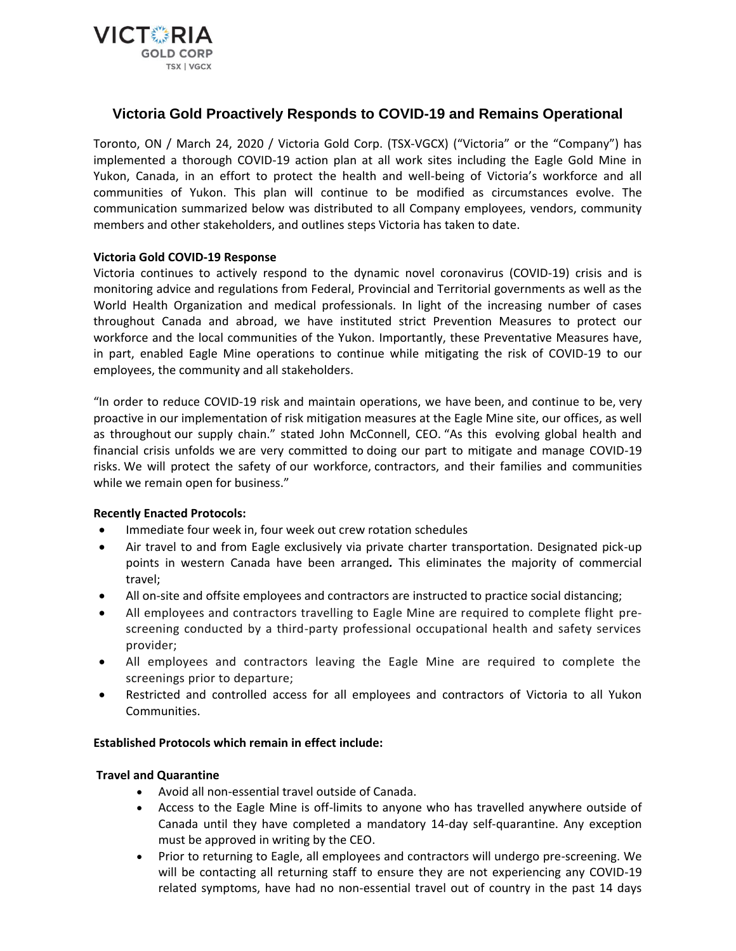

# **Victoria Gold Proactively Responds to COVID-19 and Remains Operational**

Toronto, ON / March 24, 2020 / Victoria Gold Corp. (TSX-VGCX) ("Victoria" or the "Company") has implemented a thorough COVID-19 action plan at all work sites including the Eagle Gold Mine in Yukon, Canada, in an effort to protect the health and well-being of Victoria's workforce and all communities of Yukon. This plan will continue to be modified as circumstances evolve. The communication summarized below was distributed to all Company employees, vendors, community members and other stakeholders, and outlines steps Victoria has taken to date.

# **Victoria Gold COVID-19 Response**

Victoria continues to actively respond to the dynamic novel coronavirus (COVID-19) crisis and is monitoring advice and regulations from Federal, Provincial and Territorial governments as well as the World Health Organization and medical professionals. In light of the increasing number of cases throughout Canada and abroad, we have instituted strict Prevention Measures to protect our workforce and the local communities of the Yukon. Importantly, these Preventative Measures have, in part, enabled Eagle Mine operations to continue while mitigating the risk of COVID-19 to our employees, the community and all stakeholders.

"In order to reduce COVID-19 risk and maintain operations, we have been, and continue to be, very proactive in our implementation of risk mitigation measures at the Eagle Mine site, our offices, as well as throughout our supply chain." stated John McConnell, CEO. "As this evolving global health and financial crisis unfolds we are very committed to doing our part to mitigate and manage COVID-19 risks. We will protect the safety of our workforce, contractors, and their families and communities while we remain open for business."

# **Recently Enacted Protocols:**

- Immediate four week in, four week out crew rotation schedules
- Air travel to and from Eagle exclusively via private charter transportation. Designated pick-up points in western Canada have been arranged*.* This eliminates the majority of commercial travel;
- All on-site and offsite employees and contractors are instructed to practice social distancing;
- All employees and contractors travelling to Eagle Mine are required to complete flight prescreening conducted by a third-party professional occupational health and safety services provider;
- All employees and contractors leaving the Eagle Mine are required to complete the screenings prior to departure;
- Restricted and controlled access for all employees and contractors of Victoria to all Yukon Communities.

#### **Established Protocols which remain in effect include:**

#### **Travel and Quarantine**

- Avoid all non-essential travel outside of Canada.
- Access to the Eagle Mine is off-limits to anyone who has travelled anywhere outside of Canada until they have completed a mandatory 14-day self-quarantine. Any exception must be approved in writing by the CEO.
- Prior to returning to Eagle, all employees and contractors will undergo pre-screening. We will be contacting all returning staff to ensure they are not experiencing any COVID-19 related symptoms, have had no non-essential travel out of country in the past 14 days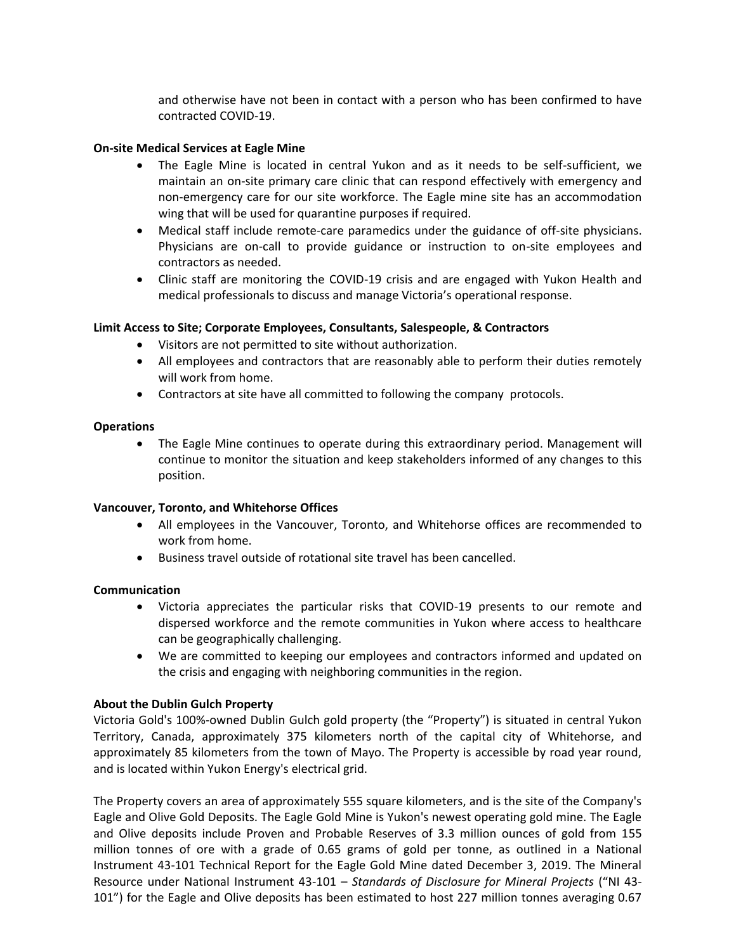and otherwise have not been in contact with a person who has been confirmed to have contracted COVID-19.

## **On-site Medical Services at Eagle Mine**

- The Eagle Mine is located in central Yukon and as it needs to be self-sufficient, we maintain an on-site primary care clinic that can respond effectively with emergency and non-emergency care for our site workforce. The Eagle mine site has an accommodation wing that will be used for quarantine purposes if required.
- Medical staff include remote-care paramedics under the guidance of off-site physicians. Physicians are on-call to provide guidance or instruction to on-site employees and contractors as needed.
- Clinic staff are monitoring the COVID-19 crisis and are engaged with Yukon Health and medical professionals to discuss and manage Victoria's operational response.

# **Limit Access to Site; Corporate Employees, Consultants, Salespeople, & Contractors**

- Visitors are not permitted to site without authorization.
- All employees and contractors that are reasonably able to perform their duties remotely will work from home.
- Contractors at site have all committed to following the company protocols.

## **Operations**

 The Eagle Mine continues to operate during this extraordinary period. Management will continue to monitor the situation and keep stakeholders informed of any changes to this position.

# **Vancouver, Toronto, and Whitehorse Offices**

- All employees in the Vancouver, Toronto, and Whitehorse offices are recommended to work from home.
- Business travel outside of rotational site travel has been cancelled.

# **Communication**

- Victoria appreciates the particular risks that COVID-19 presents to our remote and dispersed workforce and the remote communities in Yukon where access to healthcare can be geographically challenging.
- We are committed to keeping our employees and contractors informed and updated on the crisis and engaging with neighboring communities in the region.

# **About the Dublin Gulch Property**

Victoria Gold's 100%-owned Dublin Gulch gold property (the "Property") is situated in central Yukon Territory, Canada, approximately 375 kilometers north of the capital city of Whitehorse, and approximately 85 kilometers from the town of Mayo. The Property is accessible by road year round, and is located within Yukon Energy's electrical grid.

The Property covers an area of approximately 555 square kilometers, and is the site of the Company's Eagle and Olive Gold Deposits. The Eagle Gold Mine is Yukon's newest operating gold mine. The Eagle and Olive deposits include Proven and Probable Reserves of 3.3 million ounces of gold from 155 million tonnes of ore with a grade of 0.65 grams of gold per tonne, as outlined in a National Instrument 43-101 Technical Report for the Eagle Gold Mine dated December 3, 2019. The Mineral Resource under National Instrument 43-101 – *Standards of Disclosure for Mineral Projects* ("NI 43- 101") for the Eagle and Olive deposits has been estimated to host 227 million tonnes averaging 0.67